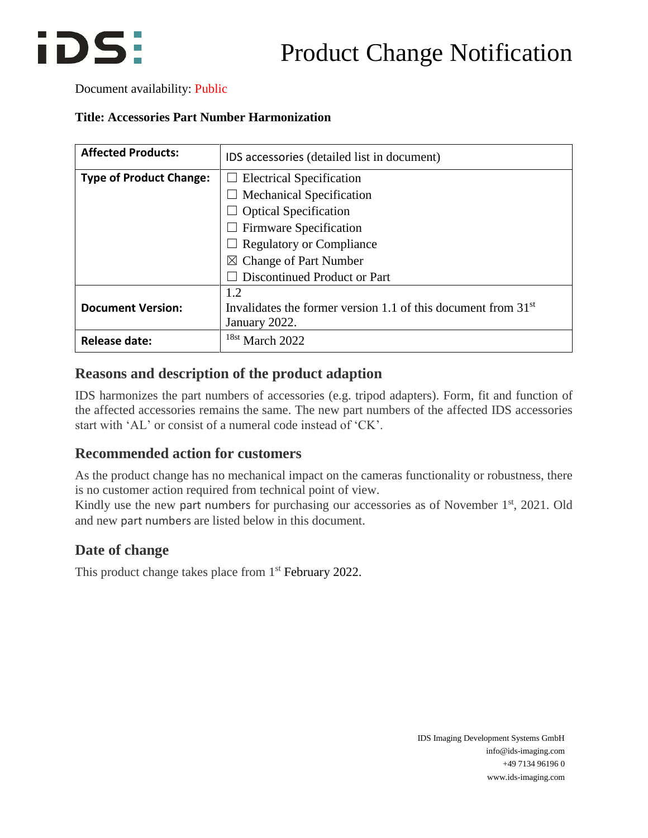## iDS:

### Product Change Notification

#### Document availability: Public

#### **Title: Accessories Part Number Harmonization**

| <b>Affected Products:</b>      | IDS accessories (detailed list in document)                     |  |  |  |  |
|--------------------------------|-----------------------------------------------------------------|--|--|--|--|
| <b>Type of Product Change:</b> | <b>Electrical Specification</b><br>ப                            |  |  |  |  |
|                                | $\Box$ Mechanical Specification                                 |  |  |  |  |
|                                | $\Box$ Optical Specification                                    |  |  |  |  |
|                                | $\Box$ Firmware Specification                                   |  |  |  |  |
|                                | $\Box$ Regulatory or Compliance                                 |  |  |  |  |
|                                | $\boxtimes$ Change of Part Number                               |  |  |  |  |
|                                | <b>Discontinued Product or Part</b>                             |  |  |  |  |
|                                | 1.2                                                             |  |  |  |  |
| <b>Document Version:</b>       | Invalidates the former version 1.1 of this document from $31st$ |  |  |  |  |
|                                | January 2022.                                                   |  |  |  |  |
| <b>Release date:</b>           | $18st$ March 2022                                               |  |  |  |  |

#### **Reasons and description of the product adaption**

IDS harmonizes the part numbers of accessories (e.g. tripod adapters). Form, fit and function of the affected accessories remains the same. The new part numbers of the affected IDS accessories start with 'AL' or consist of a numeral code instead of 'CK'.

### **Recommended action for customers**

As the product change has no mechanical impact on the cameras functionality or robustness, there is no customer action required from technical point of view.

Kindly use the new part numbers for purchasing our accessories as of November 1<sup>st</sup>, 2021. Old and new part numbers are listed below in this document.

### **Date of change**

This product change takes place from 1<sup>st</sup> February 2022.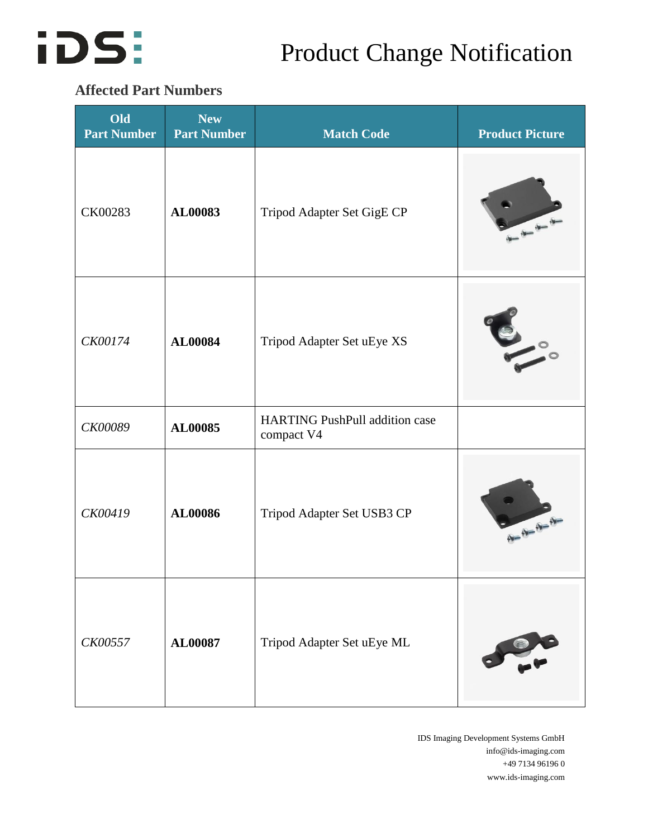

### Product Change Notification

### **Affected Part Numbers**

| Old<br><b>Part Number</b> | <b>New</b><br><b>Part Number</b> | <b>Match Code</b>                                   | <b>Product Picture</b>                                                                                                                                                                                                                                                                                                                                                                                                          |
|---------------------------|----------------------------------|-----------------------------------------------------|---------------------------------------------------------------------------------------------------------------------------------------------------------------------------------------------------------------------------------------------------------------------------------------------------------------------------------------------------------------------------------------------------------------------------------|
| CK00283                   | AL00083                          | Tripod Adapter Set GigE CP                          |                                                                                                                                                                                                                                                                                                                                                                                                                                 |
| CK00174                   | AL00084                          | Tripod Adapter Set uEye XS                          |                                                                                                                                                                                                                                                                                                                                                                                                                                 |
| CK00089                   | AL00085                          | <b>HARTING PushPull addition case</b><br>compact V4 |                                                                                                                                                                                                                                                                                                                                                                                                                                 |
| CK00419                   | AL00086                          | Tripod Adapter Set USB3 CP                          | $\frac{1}{\sqrt{1-\frac{1}{2}}}\frac{1}{\sqrt{1-\frac{1}{2}}}\frac{1}{\sqrt{1-\frac{1}{2}}}\frac{1}{\sqrt{1-\frac{1}{2}}}\frac{1}{\sqrt{1-\frac{1}{2}}}\frac{1}{\sqrt{1-\frac{1}{2}}}\frac{1}{\sqrt{1-\frac{1}{2}}}\frac{1}{\sqrt{1-\frac{1}{2}}}\frac{1}{\sqrt{1-\frac{1}{2}}}\frac{1}{\sqrt{1-\frac{1}{2}}}\frac{1}{\sqrt{1-\frac{1}{2}}}\frac{1}{\sqrt{1-\frac{1}{2}}}\frac{1}{\sqrt{1-\frac{1}{2}}}\frac{1}{\sqrt{1-\frac{$ |
| CK00557                   | AL00087                          | Tripod Adapter Set uEye ML                          |                                                                                                                                                                                                                                                                                                                                                                                                                                 |

IDS Imaging Development Systems GmbH info@ids-imaging.com +49 7134 96196 0 www.ids-imaging.com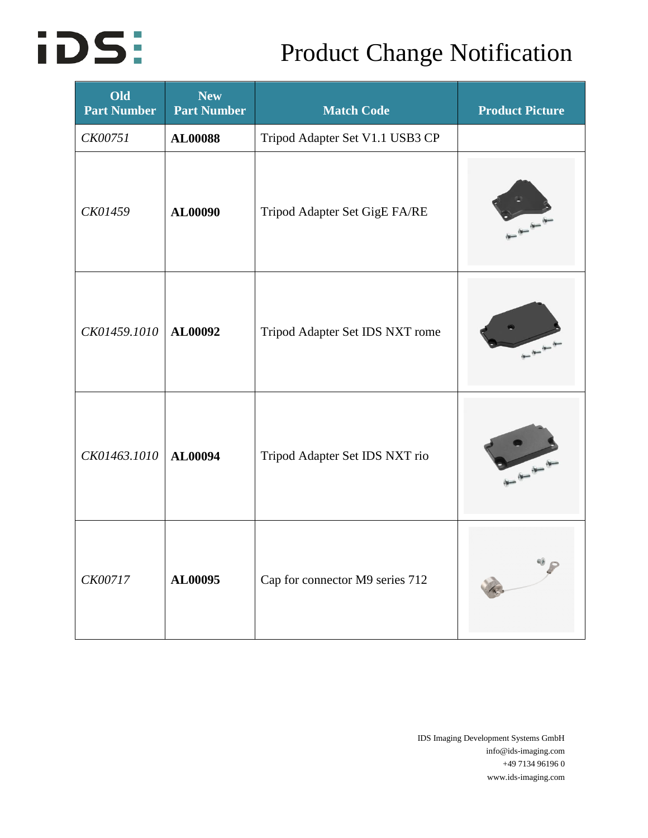# **iDS:**

## Product Change Notification

| Old<br><b>Part Number</b> | <b>New</b><br><b>Part Number</b> | <b>Match Code</b>               | <b>Product Picture</b> |
|---------------------------|----------------------------------|---------------------------------|------------------------|
| <b>CK00751</b>            | <b>AL00088</b>                   | Tripod Adapter Set V1.1 USB3 CP |                        |
| CK01459                   | AL00090                          | Tripod Adapter Set GigE FA/RE   |                        |
| CK01459.1010              | AL00092                          | Tripod Adapter Set IDS NXT rome |                        |
| CK01463.1010              | AL00094                          | Tripod Adapter Set IDS NXT rio  |                        |
| CK00717                   | AL00095                          | Cap for connector M9 series 712 |                        |